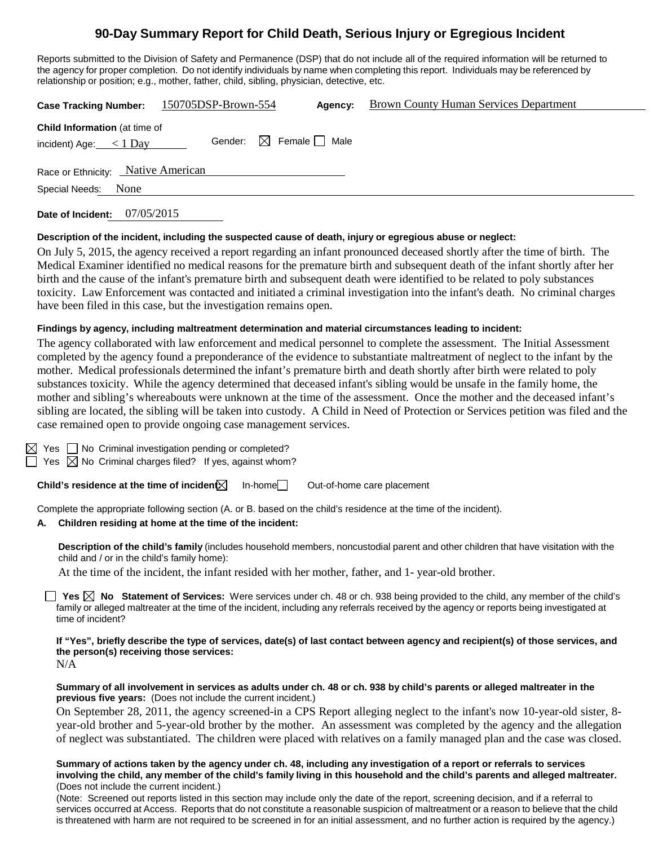# **90-Day Summary Report for Child Death, Serious Injury or Egregious Incident**

Reports submitted to the Division of Safety and Permanence (DSP) that do not include all of the required information will be returned to the agency for proper completion. Do not identify individuals by name when completing this report. Individuals may be referenced by relationship or position; e.g., mother, father, child, sibling, physician, detective, etc.

| <b>Case Tracking Number:</b>                                       | 150705DSP-Brown-554                    | Agency: | <b>Brown County Human Services Department</b> |
|--------------------------------------------------------------------|----------------------------------------|---------|-----------------------------------------------|
| <b>Child Information (at time of</b><br>incident) Age: $\lt 1$ Day | Gender: $\boxtimes$ Female $\Box$ Male |         |                                               |
| Race or Ethnicity: Native American                                 |                                        |         |                                               |
| Special Needs: None                                                |                                        |         |                                               |
| 07/05/2015<br>Date of Incident:                                    |                                        |         |                                               |

#### **Description of the incident, including the suspected cause of death, injury or egregious abuse or neglect:**

On July 5, 2015, the agency received a report regarding an infant pronounced deceased shortly after the time of birth. The Medical Examiner identified no medical reasons for the premature birth and subsequent death of the infant shortly after her birth and the cause of the infant's premature birth and subsequent death were identified to be related to poly substances toxicity. Law Enforcement was contacted and initiated a criminal investigation into the infant's death. No criminal charges have been filed in this case, but the investigation remains open.

### **Findings by agency, including maltreatment determination and material circumstances leading to incident:**

The agency collaborated with law enforcement and medical personnel to complete the assessment. The Initial Assessment completed by the agency found a preponderance of the evidence to substantiate maltreatment of neglect to the infant by the mother. Medical professionals determined the infant's premature birth and death shortly after birth were related to poly substances toxicity. While the agency determined that deceased infant's sibling would be unsafe in the family home, the mother and sibling's whereabouts were unknown at the time of the assessment. Once the mother and the deceased infant's sibling are located, the sibling will be taken into custody. A Child in Need of Protection or Services petition was filed and the case remained open to provide ongoing case management services.

|  | $\boxtimes$ Yes $\Box$ No Criminal investigation pending or completed?  |  |  |
|--|-------------------------------------------------------------------------|--|--|
|  | $\Box$ Yes $\boxtimes$ No Criminal charges filed? If yes, against whom? |  |  |

**Child's residence at the time of incident** In-home Out-of-home care placement

Complete the appropriate following section (A. or B. based on the child's residence at the time of the incident).

### **A. Children residing at home at the time of the incident:**

**Description of the child's family** (includes household members, noncustodial parent and other children that have visitation with the child and / or in the child's family home):

At the time of the incident, the infant resided with her mother, father, and 1- year-old brother.

**Yes No Statement of Services:** Were services under ch. 48 or ch. 938 being provided to the child, any member of the child's family or alleged maltreater at the time of the incident, including any referrals received by the agency or reports being investigated at time of incident?

**If "Yes", briefly describe the type of services, date(s) of last contact between agency and recipient(s) of those services, and the person(s) receiving those services:**  N/A

### **Summary of all involvement in services as adults under ch. 48 or ch. 938 by child's parents or alleged maltreater in the previous five years:** (Does not include the current incident.)

On September 28, 2011, the agency screened-in a CPS Report alleging neglect to the infant's now 10-year-old sister, 8 year-old brother and 5-year-old brother by the mother. An assessment was completed by the agency and the allegation of neglect was substantiated. The children were placed with relatives on a family managed plan and the case was closed.

#### **Summary of actions taken by the agency under ch. 48, including any investigation of a report or referrals to services involving the child, any member of the child's family living in this household and the child's parents and alleged maltreater.**  (Does not include the current incident.)

(Note: Screened out reports listed in this section may include only the date of the report, screening decision, and if a referral to services occurred at Access. Reports that do not constitute a reasonable suspicion of maltreatment or a reason to believe that the child is threatened with harm are not required to be screened in for an initial assessment, and no further action is required by the agency.)